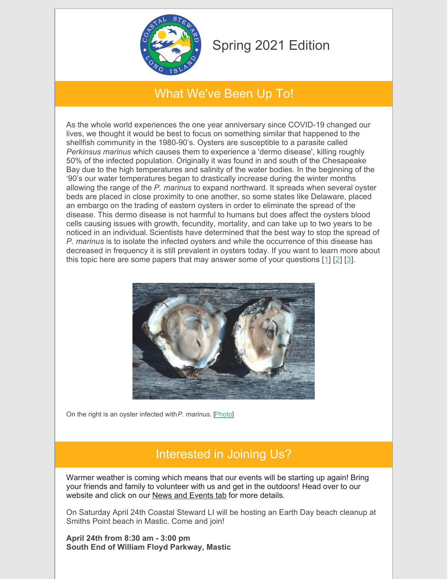

# Spring 2021 Edition

## What We've Been Up To!

As the whole world experiences the one year anniversary since COVID-19 changed our lives, we thought it would be best to focus on something similar that happened to the shellfish community in the 1980-90's. Oysters are susceptible to a parasite called *Perkinsus marinus* which causes them to experience a 'dermo disease', killing roughly 50% of the infected population. Originally it was found in and south of the Chesapeake Bay due to the high temperatures and salinity of the water bodies. In the beginning of the '90's our water temperatures began to drastically increase during the winter months allowing the range of the *P. marinus* to expand northward. It spreads when several oyster beds are placed in close proximity to one another, so some states like Delaware, placed an embargo on the trading of eastern oysters in order to eliminate the spread of the disease. This dermo disease is not harmful to humans but does affect the oysters blood cells causing issues with growth, fecundity, mortality, and can take up to two years to be noticed in an individual. Scientists have determined that the best way to stop the spread of *P. marinus* is to isolate the infected oysters and while the occurrence of this disease has decreased in frequency it is still prevalent in oysters today. If you want to learn more about this topic here are some papers that may answer some of your questions [[1](https://www.oyster.umd.edu/dermo-disease-testing)] [\[2](https://ir.library.oregonstate.edu/concern/articles/qz20t046m)] [\[3](https://www.sciencedirect.com/science/article/abs/pii/S0272771497902833)].



On the right is an oyster infected with*P. marinus*. [\[Photo](http://www.digitaljournal.com/science/highly-infectious-disease-affecting-tadpoles-across-the-globe/article/440803)]

## Interested in Joining Us?

Warmer weather is coming which means that our events will be starting up again! Bring your friends and family to volunteer with us and get in the outdoors! Head over to our website and click on our News and [Events](https://www.coastalsteward.org/news-and-events.html) tab for more details.

On Saturday April 24th Coastal Steward LI will be hosting an Earth Day beach cleanup at Smiths Point beach in Mastic. Come and join!

**April 24th from 8:30 am - 3:00 pm South End of William Floyd Parkway, Mastic**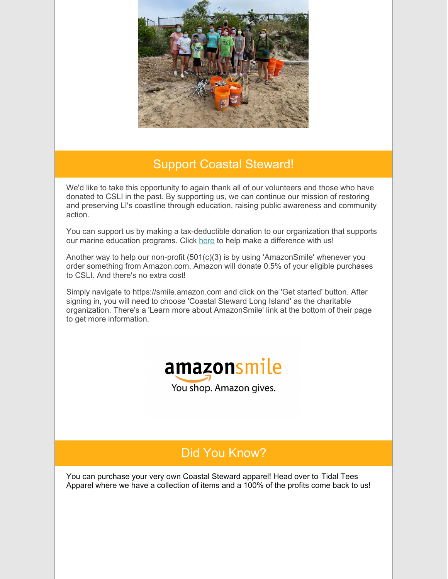

#### Support Coastal Steward!

We'd like to take this opportunity to again thank all of our volunteers and those who have donated to CSLI in the past. By supporting us, we can continue our mission of restoring and preserving LI's coastline through education, raising public awareness and community action.

You can support us by making a tax-deductible donation to our organization that supports our marine education programs. Click [here](https://www.coastalsteward.org/donate.html) to help make a difference with us!

Another way to help our non-profit (501(c)(3) is by using 'AmazonSmile' whenever you order something from Amazon.com. Amazon will donate 0.5% of your eligible purchases to CSLI. And there's no extra cost!

Simply navigate to https://smile.amazon.com and click on the 'Get started' button. After signing in, you will need to choose 'Coastal Steward Long Island' as the charitable organization. There's a 'Learn more about AmazonSmile' link at the bottom of their page to get more information.



## Did You Know?

You can [purchase](https://tidalteesapparel.com/collections/coastal-steward-li-collaboration) your very own Coastal Steward apparel! Head over to Tidal Tees Apparel where we have a collection of items and a 100% of the profits come back to us!